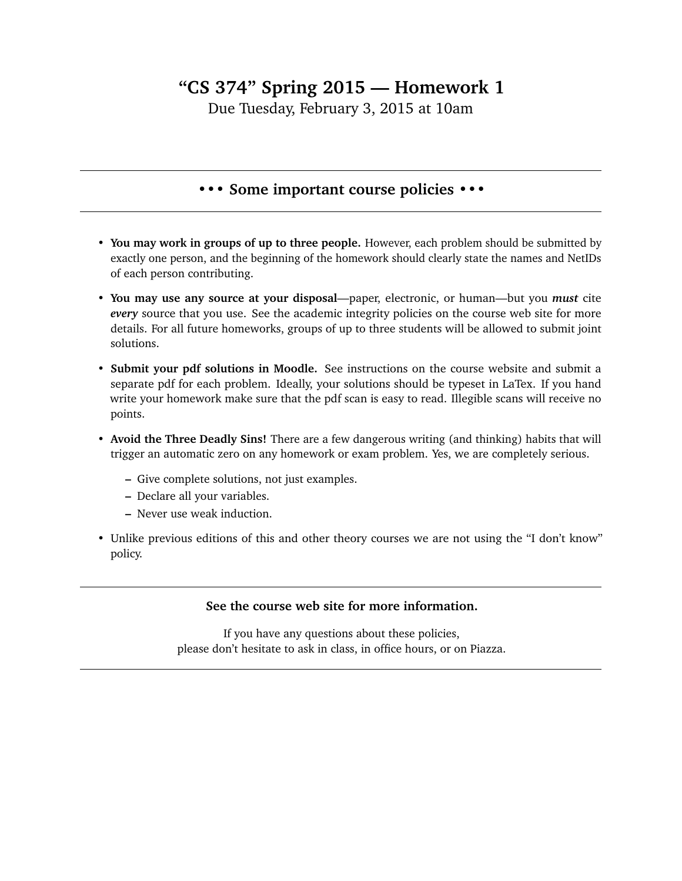## **"CS 374" Spring 2015 — Homework 1**

Due Tuesday, February 3, 2015 at 10am

## **••• Some important course policies •••**

- **You may work in groups of up to three people.** However, each problem should be submitted by exactly one person, and the beginning of the homework should clearly state the names and NetIDs of each person contributing.
- **You may use any source at your disposal**—paper, electronic, or human—but you *must* cite *every* source that you use. See the academic integrity policies on the course web site for more details. For all future homeworks, groups of up to three students will be allowed to submit joint solutions.
- **Submit your pdf solutions in Moodle.** See instructions on the course website and submit a separate pdf for each problem. Ideally, your solutions should be typeset in LaTex. If you hand write your homework make sure that the pdf scan is easy to read. Illegible scans will receive no points.
- **Avoid the Three Deadly Sins!** There are a few dangerous writing (and thinking) habits that will trigger an automatic zero on any homework or exam problem. Yes, we are completely serious.
	- **–** Give complete solutions, not just examples.
	- **–** Declare all your variables.
	- **–** Never use weak induction.
- Unlike previous editions of this and other theory courses we are not using the "I don't know" policy.

## **See the course web site for more information.**

If you have any questions about these policies, please don't hesitate to ask in class, in office hours, or on Piazza.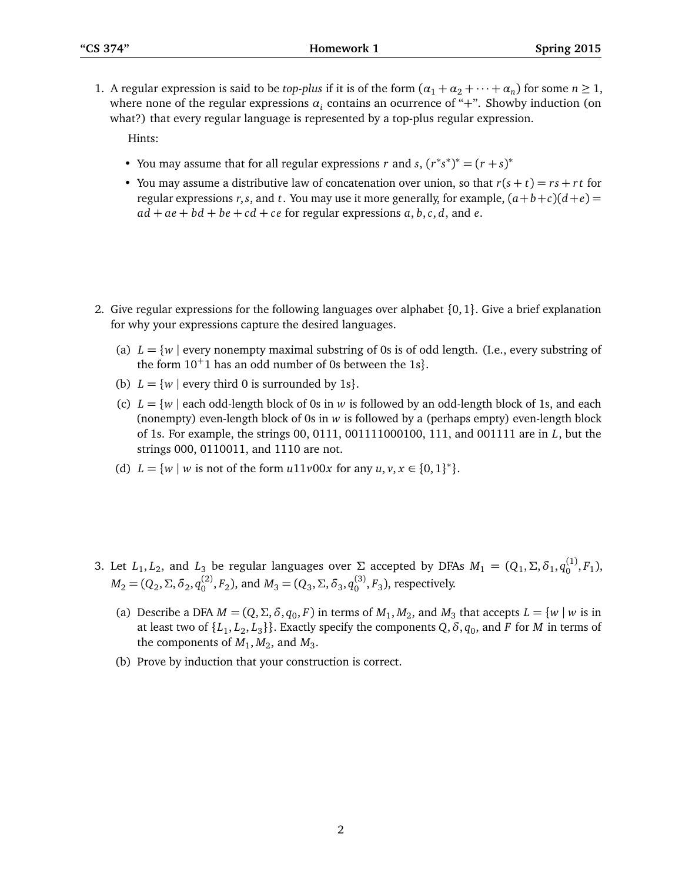1. A regular expression is said to be *top-plus* if it is of the form  $(\alpha_1 + \alpha_2 + \cdots + \alpha_n)$  for some  $n \ge 1$ , where none of the regular expressions  $a_i$  contains an ocurrence of "+". Showby induction (on what?) that every regular language is represented by a top-plus regular expression.

Hints:

- You may assume that for all regular expressions *r* and *s*,  $(r^*s^*)^* = (r + s)^*$
- You may assume a distributive law of concatenation over union, so that  $r(s + t) = rs + rt$  for regular expressions *r*,*s*, and *t*. You may use it more generally, for example,  $(a+b+c)(d+e)$  $ad + ae + bd + be + cd + ce$  for regular expressions  $a, b, c, d$ , and  $e$ .
- 2. Give regular expressions for the following languages over alphabet {0, 1}. Give a brief explanation for why your expressions capture the desired languages.
	- (a)  $L = \{w \mid \text{every nonempty maximal substring of 0s is of odd length. }$  (I.e., every substring of the form  $10<sup>+</sup>1$  has an odd number of 0s between the 1s}.
	- (b)  $L = \{w \mid \text{every third 0 is surrounded by 1s}\}.$
	- (c)  $L = \{w \mid$  each odd-length block of 0s in *w* is followed by an odd-length block of 1s, and each (nonempty) even-length block of 0s in *w* is followed by a (perhaps empty) even-length block of 1s. For example, the strings 00, 0111, 001111000100, 111, and 001111 are in *L*, but the strings 000, 0110011, and 1110 are not.
	- (d)  $L = \{w \mid w \text{ is not of the form } u11v00x \text{ for any } u, v, x \in \{0, 1\}^*\}.$
- 3. Let  $L_1, L_2$ , and  $L_3$  be regular languages over  $\Sigma$  accepted by DFAs  $M_1 = (Q_1, \Sigma, \delta_1, q_0^{(1)}, F_1)$ ,  $M_2 = (Q_2, \Sigma, \delta_2, q_0^{(2)}, F_2)$ , and  $M_3 = (Q_3, \Sigma, \delta_3, q_0^{(3)}, F_3)$ , respectively.
	- (a) Describe a DFA  $M = (Q, \Sigma, \delta, q_0, F)$  in terms of  $M_1, M_2$ , and  $M_3$  that accepts  $L = \{w \mid w \text{ is in } \mathbb{R}\}$ at least two of  $\{L_1, L_2, L_3\}$ . Exactly specify the components  $Q$ ,  $\delta$ ,  $q_0$ , and  $F$  for  $M$  in terms of the components of  $M_1, M_2$ , and  $M_3$ .
	- (b) Prove by induction that your construction is correct.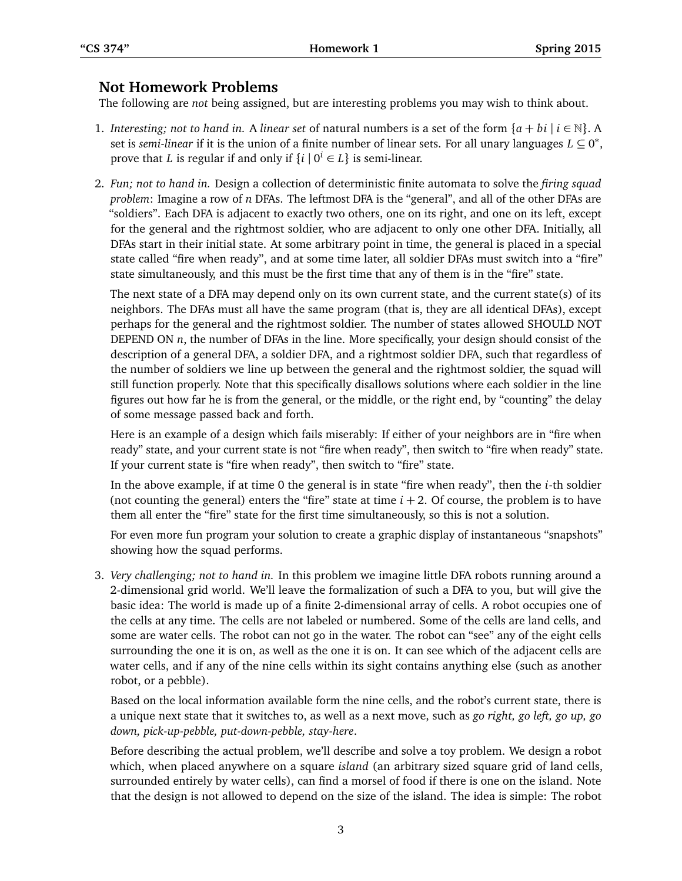## **Not Homework Problems**

The following are *not* being assigned, but are interesting problems you may wish to think about.

- 1. *Interesting; not to hand in.* A *linear set* of natural numbers is a set of the form  $\{a + bi \mid i \in \mathbb{N}\}\$ . A set is *semi-linear* if it is the union of a finite number of linear sets. For all unary languages  $L \subseteq 0^*$ , prove that *L* is regular if and only if  $\{i \mid 0^i \in L\}$  is semi-linear.
- 2. *Fun; not to hand in.* Design a collection of deterministic finite automata to solve the *firing squad problem*: Imagine a row of *n* DFAs. The leftmost DFA is the "general", and all of the other DFAs are "soldiers". Each DFA is adjacent to exactly two others, one on its right, and one on its left, except for the general and the rightmost soldier, who are adjacent to only one other DFA. Initially, all DFAs start in their initial state. At some arbitrary point in time, the general is placed in a special state called "fire when ready", and at some time later, all soldier DFAs must switch into a "fire" state simultaneously, and this must be the first time that any of them is in the "fire" state.

The next state of a DFA may depend only on its own current state, and the current state(s) of its neighbors. The DFAs must all have the same program (that is, they are all identical DFAs), except perhaps for the general and the rightmost soldier. The number of states allowed SHOULD NOT DEPEND ON *n*, the number of DFAs in the line. More specifically, your design should consist of the description of a general DFA, a soldier DFA, and a rightmost soldier DFA, such that regardless of the number of soldiers we line up between the general and the rightmost soldier, the squad will still function properly. Note that this specifically disallows solutions where each soldier in the line figures out how far he is from the general, or the middle, or the right end, by "counting" the delay of some message passed back and forth.

Here is an example of a design which fails miserably: If either of your neighbors are in "fire when ready" state, and your current state is not "fire when ready", then switch to "fire when ready" state. If your current state is "fire when ready", then switch to "fire" state.

In the above example, if at time 0 the general is in state "fire when ready", then the *i*-th soldier (not counting the general) enters the "fire" state at time  $i + 2$ . Of course, the problem is to have them all enter the "fire" state for the first time simultaneously, so this is not a solution.

For even more fun program your solution to create a graphic display of instantaneous "snapshots" showing how the squad performs.

3. *Very challenging; not to hand in.* In this problem we imagine little DFA robots running around a 2-dimensional grid world. We'll leave the formalization of such a DFA to you, but will give the basic idea: The world is made up of a finite 2-dimensional array of cells. A robot occupies one of the cells at any time. The cells are not labeled or numbered. Some of the cells are land cells, and some are water cells. The robot can not go in the water. The robot can "see" any of the eight cells surrounding the one it is on, as well as the one it is on. It can see which of the adjacent cells are water cells, and if any of the nine cells within its sight contains anything else (such as another robot, or a pebble).

Based on the local information available form the nine cells, and the robot's current state, there is a unique next state that it switches to, as well as a next move, such as *go right, go left, go up, go down, pick-up-pebble, put-down-pebble, stay-here*.

Before describing the actual problem, we'll describe and solve a toy problem. We design a robot which, when placed anywhere on a square *island* (an arbitrary sized square grid of land cells, surrounded entirely by water cells), can find a morsel of food if there is one on the island. Note that the design is not allowed to depend on the size of the island. The idea is simple: The robot